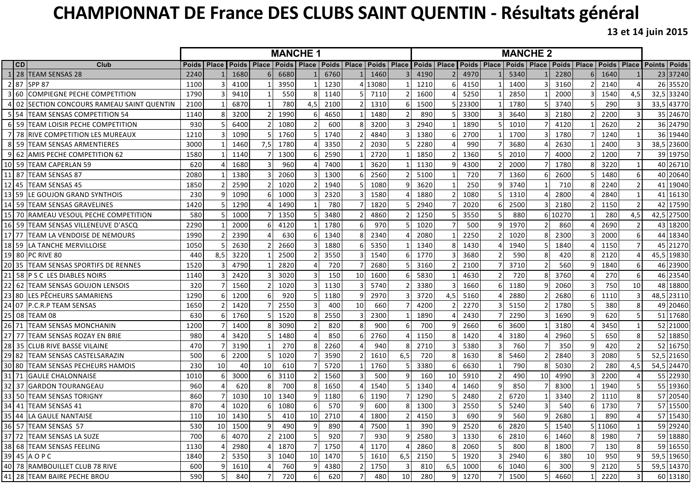## **CHAMPIONNAT DE France DES CLUBS SAINT QUENTIN - Résultats général**

**13 et 14 juin 2015**

|     |    |                                          | <b>MANCHE1</b> |                |         |              |                                                               |                |         |    | <b>MANCHE 2</b> |                 |      |                 |         |                                                               |      |                 |        |                |              |                         |                          |
|-----|----|------------------------------------------|----------------|----------------|---------|--------------|---------------------------------------------------------------|----------------|---------|----|-----------------|-----------------|------|-----------------|---------|---------------------------------------------------------------|------|-----------------|--------|----------------|--------------|-------------------------|--------------------------|
|     | CD | Club                                     | Poids   Place  |                |         |              | Poids   Place   Poids   Place   Poids   Place   Poids   Place |                |         |    |                 |                 |      |                 |         | Poids   Place   Poids   Place   Poids   Place   Poids   Place |      |                 |        |                | <b>Poids</b> | <b>Place</b>            | <b>Points</b><br>  Poids |
|     |    | 28 TEAM SENSAS 28                        | 2240           |                | 1680    |              | 6680                                                          |                | 6760    |    | 1460            |                 | 4190 |                 | 4970    |                                                               | 5340 |                 | 2280   | 6              | 1640         |                         | 23 37240                 |
|     |    | 2 87 SPP 87                              | 1100           |                | 4100    |              | 3950                                                          |                | 1230    |    | 13080           |                 | 1210 |                 | 4150    |                                                               | 1400 |                 | 3160   |                | 2140         |                         | 26 35520                 |
|     |    | 3 60 COMPIEGNE PECHE COMPETITION         | 1790           |                | 9410    |              | 550                                                           | 8              | 1140    |    | 7110            |                 | 1600 |                 | 5250    |                                                               | 2850 |                 | 2000   |                | 1540         | 4,5                     | 32,5 33240               |
| 4   |    | 02 SECTION CONCOURS RAMEAU SAINT QUENTIN | 2100           |                | 6870    |              | 780                                                           | 4,5            | 2100    |    | 1310            | 6               | 1500 |                 | 5 23300 |                                                               | 1780 |                 | 3740   |                | 290          |                         | 33,5 43770               |
|     |    | 5 54  TEAM SENSAS COMPETITION 54         | 1140           |                | 3200    |              | 1990                                                          | <sup>6</sup>   | 4650    |    | 1480            |                 | 890  |                 | 3300    |                                                               | 3640 |                 | 2180   |                | 2200         |                         | 35 24670                 |
|     |    | 6 59 ITEAM LOISIR PECHE COMPETITION      | 930            |                | 6400    |              | 1080                                                          |                | 600     |    | 3200            |                 | 2940 |                 | 1890    |                                                               | 1010 |                 | 4120   |                | 2620         |                         | 36 24790                 |
|     |    | 7 78 RIVE COMPETITION LES MUREAUX        | 1210           |                | 1090    |              | 1760                                                          |                | 1740    |    | 4840            |                 | 1380 |                 | 2700    |                                                               | 1700 |                 | 1780   |                | 1240         |                         | 36 19440                 |
| 81  |    | 59 TEAM SENSAS ARMENTIERES               | 3000           |                | 1460    | 7,5          | 1780                                                          |                | 3350    |    | 2030            |                 | 2280 |                 | 990     |                                                               | 3680 |                 | 2630   |                | 2400         |                         | 38,5 23600               |
|     |    | 9 62 AMIS PECHE COMPETITION 62           | 1580           |                | 1140    |              | 1300                                                          | 6              | 2590    |    | 2720            |                 | 1850 |                 | 1360    |                                                               | 2010 |                 | 4000   |                | 1200         |                         | 39 19750                 |
|     |    | 10 59 TEAM CAPERLAN 59                   | 620            |                | 1680    |              | 960                                                           |                | 7400    |    | 3620            |                 | 1130 |                 | 4300    |                                                               | 2000 |                 | 1780   |                | 3220         |                         | 40 26710                 |
|     |    | 11  87  TEAM SENSAS 87                   | 2080           |                | 1380    |              | 2060                                                          |                | 1300    |    | 2560            |                 | 5100 |                 | 720     |                                                               | 1360 |                 | 2600   |                | 1480         | -6                      | 40 20640                 |
|     | 45 | <b>TEAM SENSAS 45</b>                    | 1850           |                | 2590    |              | 1020                                                          |                | 1940    |    | 1080            |                 | 3620 |                 | 250     |                                                               | 3740 |                 | 710    |                | 2240         |                         | 41 19040                 |
|     |    | 13 59  LE GOUJON GRAND SYNTHOIS          | 230            |                | 1090    |              | 1000                                                          |                | 2320    |    | 1580            |                 | 1880 |                 | 1080    |                                                               | 1310 |                 | 2800   |                | 2840         |                         | 41 16130                 |
|     |    | 14  59  TEAM SENSAS GRAVELINES           | 1420           |                | 1290    |              | 1490                                                          |                | 780     |    | 1820            |                 | 2940 |                 | 2020    |                                                               | 2500 |                 | 2180   |                | 1150         |                         | 17590<br>42              |
|     |    | 15  70  RAMEAU VESOUL PECHE COMPETITION  | 580            |                | 1000    |              | 1350                                                          |                | 3480    |    | 4860            |                 | 1250 |                 | 3550    |                                                               | 880  | 6               | 10270  |                | 280          | 4,5                     | 27500<br>42,5            |
|     |    | 16  59  TEAM SENSAS VILLENEUVE D'ASCO    | 2290           |                | 2000    |              | 4120                                                          |                | 1780    |    | 970             |                 | 1020 |                 | 500     |                                                               | 1970 |                 | 860    |                | 2690         |                         | 43 18200                 |
|     |    | 17 77  TEAM LA VENDOISE DE NEMOURS       | 1990           |                | 2390    |              | 630                                                           | 6.             | 1340    |    | 2340            |                 | 2080 |                 | 2250    |                                                               | 1020 |                 | 2300   |                | 2000         | 6                       | 18340<br>44              |
|     |    | 18 59 ILA TANCHE MERVILLOISE             | 1050           |                | 2630    |              | 2660                                                          |                | 1880    | 6  | 5350            |                 | 1340 |                 | 1430    |                                                               | 1940 |                 | 1840   |                | 1150         |                         | 21270<br>45              |
| 191 |    | 80 PC RIVE 80                            | 440            | 8,5            | 3220    |              | 2500                                                          |                | 3550    |    | 1540            | 6               | 1770 |                 | 3680    |                                                               | 590  | 8               | 420    |                | 2120         |                         | 19830<br>45,5            |
|     |    | 35 TEAM SENSAS SPORTIFS DE RENNES        | 1520           |                | 4790    |              | 2820                                                          |                | 720     |    | 2680            |                 | 3160 |                 | 2100    |                                                               | 3710 | $\overline{2}$  | 560    |                | 1840         | 6                       | 23900<br>46              |
|     |    | 58 P S C LES DIABLES NOIRS               | 1140           |                | 2420    |              | 3020                                                          |                | 150     | 10 | 1600            | 6               | 5830 |                 | 4630    |                                                               | 720  |                 | 3760   |                | 270          | -6                      | 46 23540                 |
|     |    | 62 TEAM SENSAS GOUJON LENSOIS            | 320            |                | 1560    |              | 1020                                                          |                | 1130    |    | 5740            |                 | 3380 |                 | 1660    |                                                               | 1180 |                 | 2060   |                | 750          | 10                      | 18800<br>48              |
|     |    | 80 LES PÊCHEURS SAMARIENS                | 1290           |                | 1200    |              | 920                                                           |                | 1180    |    | 2970            |                 | 3720 | 4,5             | 5160    |                                                               | 2880 |                 | 2680   | 6              | 1110         | 3                       | 48,5<br>23110            |
|     |    | 07 P.C.R.P TEAM SENSAS                   | 1650           |                | 1420    |              | 2550                                                          |                | 400     | 10 | 660             |                 | 4200 |                 | 2270    |                                                               | 5150 |                 | 1780   |                | 380          | 8                       | 49 20460                 |
|     |    | 08 TEAM 08                               | 630            |                | 1760    |              | 1520                                                          | 8              | 2550    |    | 2300            |                 | 1890 |                 | 2430    |                                                               | 2290 |                 | 1690   | q              | 620          |                         | 51 17680                 |
|     |    | 26 71 TEAM SENSAS MONCHANIN              | 1200           |                | 1400    |              | 3090                                                          |                | 820     |    | 900             |                 | 700  |                 | 2660    |                                                               | 3600 |                 | 3180   |                | 3450         | $\mathbf{1}$            | 52 21000                 |
|     |    | 27  77  TEAM SENSAS ROZAY EN BRIE        | 980            |                | 3420    |              | 1480                                                          |                | 850     |    | 2760            |                 | 1150 |                 | 1420    |                                                               | 3180 |                 | 2960   |                | 650          | 8                       | 52 18850                 |
|     |    | 28  35  CLUB RIVE BASSE VILAINE          | 470            |                | 3190    |              | 270                                                           | 8              | 2260    |    | 940             |                 | 2710 |                 | 5380    |                                                               | 760  |                 | 350    | q              | 420          | $\mathcal{P}$           | 52 16750                 |
|     |    | 29 82  TEAM SENSAS CASTELSARAZIN         | 500            |                | 2200    |              | 1020                                                          |                | 3590    |    | 1610            | 6,5             | 720  |                 | 1630    |                                                               | 5460 |                 | 2840   |                | 2080         |                         | 52,5 21650               |
|     |    | 30 80 ITEAM SENSAS PECHEURS HAMOIS       | 230            | 10             | 40      | 10           | 610                                                           |                | 5720    |    | 1760            |                 | 3380 |                 | 6630    |                                                               | 790  | 8               | 5030   | $\mathcal{P}$  | 280          | 4,5                     | 54,5 24470               |
|     |    | 31 71 GAULE CHALONNAISE                  | 1010           |                | 3000    |              | 3110                                                          | $\overline{2}$ | 1560    |    | 500             |                 | 160  | 10 <sup>1</sup> | 5910    |                                                               | 490  | 10 <sup>1</sup> | 4990   |                | 2200         |                         | 55 22930                 |
|     |    | 32  37  GARDON TOURANGEAU                | 960            |                | 620     |              | 700                                                           | 8              | 1650    |    | 1540            |                 | 1340 |                 | 1460    | q                                                             | 850  |                 | 8300   |                | 1940         | .5                      | 55 19360                 |
|     |    | 33  50  TEAM SENSAS TORIGNY              | 860            |                | 1030    | 10           | 1340                                                          | q.             | 1180    |    | 1190            |                 | 1290 |                 | 2480    |                                                               | 6720 |                 | 3340   |                | 1110         | 8                       | 57 20540                 |
|     |    | 34   41  TEAM SENSAS 41                  | 870            |                | 1020    |              | 1080                                                          | $6 \mid$       | 570     |    | 600             | 8               | 1300 |                 | 2550    |                                                               | 5240 | 3               | 540    | 6              | 1730         |                         | 57 15500                 |
|     |    | 35 44 LA GAULE NANTAISE                  | 110            |                | 10 1430 | $\mathsf{D}$ | 410                                                           |                | 10 2710 | 41 | 1800            | 21              | 4150 | $3\vert$        | 690     | 9 <sub>1</sub>                                                | 560  |                 | 9 2680 | $\perp$        | 890          |                         | 57 15430                 |
|     |    | 36 57 TEAM SENSAS 57                     | 530            | 10             | 1500    |              | 490                                                           | 9 <sub>l</sub> | 890     |    | 7500            | 1               | 390  | 9               | 2520    | 6                                                             | 2820 |                 | 5 1540 |                | 5 11060      | 1                       | 59 29240                 |
|     |    | 37 72 TEAM SENSAS LA SUZE                | 700            |                | 4070    |              | 2100                                                          | 5 <sup>1</sup> | 920     |    | 930             |                 | 2580 |                 | 1330    | 6                                                             | 2810 | 61              | 1460   | 8              | 1980         | 7                       | 59 18880                 |
|     |    | 38 68 TEAM SENSAS FEELING                | 1130           |                | 2980    |              | 1870                                                          | $\overline{7}$ | 1750    |    | 1170            |                 | 2860 |                 | 2060    | 5                                                             | 800  | 8               | 1800   | $\overline{7}$ | 130          | 8                       | 59 16550                 |
|     |    | 39 45 A O P C                            | 1840           |                | 5350    |              | 1040                                                          | 10             | 1470    |    | 1610            | 6,5             | 2150 |                 | 1920    |                                                               | 2940 |                 | 380    | 10             | 950          |                         | 59,5 19650               |
|     |    | 40 78 RAMBOUILLET CLUB 78 RIVE           | 600            | 9              | 1610    |              | 760                                                           | 9              | 4380    |    | 1750            |                 | 810  | 6,5             | 1000    | 6                                                             | 1040 | 6               | 300    | 9              | 2120         |                         | 59,5 14370               |
|     |    | 41 28 TEAM BAIRE PECHE BROU              | 590            | 5 <sub>l</sub> | 840     |              | 720                                                           | $6 \mid$       | 620     |    | 480             | 10 <sup>1</sup> | 280  | 9               | 1270    | 7                                                             | 1500 | 5 <sup>1</sup>  | 4660   | 1              | 2220         | $\overline{\mathbf{3}}$ | 60 13180                 |